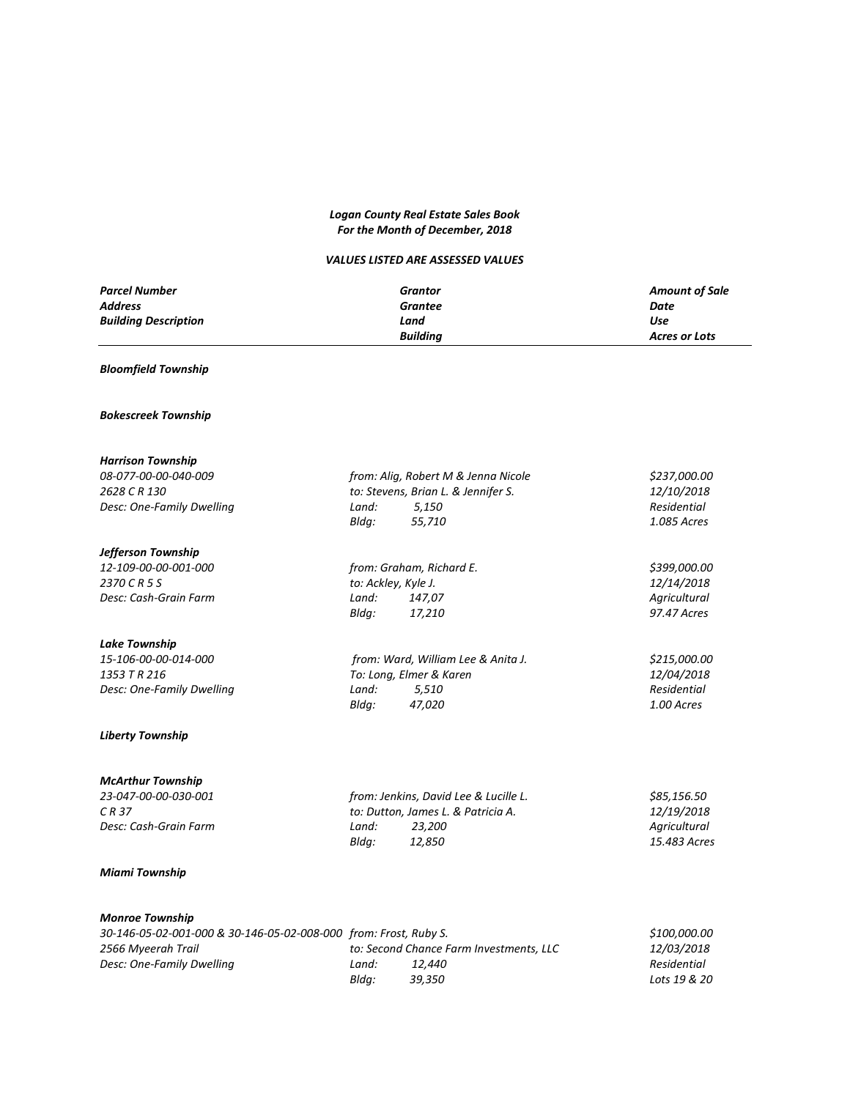# *Logan County Real Estate Sales Book For the Month of December, 2018*

# *VALUES LISTED ARE ASSESSED VALUES*

| <b>Parcel Number</b>        | Grantor         | <b>Amount of Sale</b> |
|-----------------------------|-----------------|-----------------------|
| <b>Address</b>              | Grantee         | Date                  |
| <b>Building Description</b> | Land            | Use                   |
|                             | <b>Building</b> | Acres or Lots         |

# *Bloomfield Township*

# *Bokescreek Township*

| <b>Harrison Township</b>  |                                    |                                     |              |
|---------------------------|------------------------------------|-------------------------------------|--------------|
| 08-077-00-00-040-009      |                                    | from: Aliq, Robert M & Jenna Nicole | \$237,000.00 |
| 2628 C R 130              |                                    | to: Stevens, Brian L. & Jennifer S. | 12/10/2018   |
| Desc: One-Family Dwelling | Land:                              | 5,150                               | Residential  |
|                           | Blda:                              | 55,710                              | 1.085 Acres  |
| Jefferson Township        |                                    |                                     |              |
| 12-109-00-00-001-000      | from: Graham, Richard E.           |                                     | \$399,000.00 |
| 2370 C R 5 S              | to: Ackley, Kyle J.                |                                     | 12/14/2018   |
| Desc: Cash-Grain Farm     | Land:<br>147,07                    |                                     | Agricultural |
|                           | Blda:<br>17,210                    |                                     | 97.47 Acres  |
| <b>Lake Township</b>      |                                    |                                     |              |
| 15-106-00-00-014-000      | from: Ward, William Lee & Anita J. |                                     | \$215,000.00 |
| 1353 T R 216              | To: Long, Elmer & Karen            |                                     | 12/04/2018   |
| Desc: One-Family Dwelling | Land:                              | 5,510                               | Residential  |
|                           | Bldq:<br>47,020                    |                                     | 1.00 Acres   |
| <b>Liberty Township</b>   |                                    |                                     |              |

# *McArthur Township*

| from: Jenkins, David Lee & Lucille L. | \$85.156.50       |
|---------------------------------------|-------------------|
| to: Dutton, James L. & Patricia A.    | <i>12/19/2018</i> |
| 23.200<br>Land:                       | Agricultural      |
| Bldg:<br>12.850                       | 15.483 Acres      |
|                                       |                   |

# *Miami Township*

## *Monroe Township*

| 30-146-05-02-001-000 & 30-146-05-02-008-000 from: Frost, Ruby S. |       |                                         | \$100,000.00 |
|------------------------------------------------------------------|-------|-----------------------------------------|--------------|
| 2566 Myeerah Trail                                               |       | to: Second Chance Farm Investments. LLC | 12/03/2018   |
| Desc: One-Family Dwelling                                        | Land: | 12.440                                  | Residential  |
|                                                                  | Blda: | 39.350                                  | Lots 19 & 20 |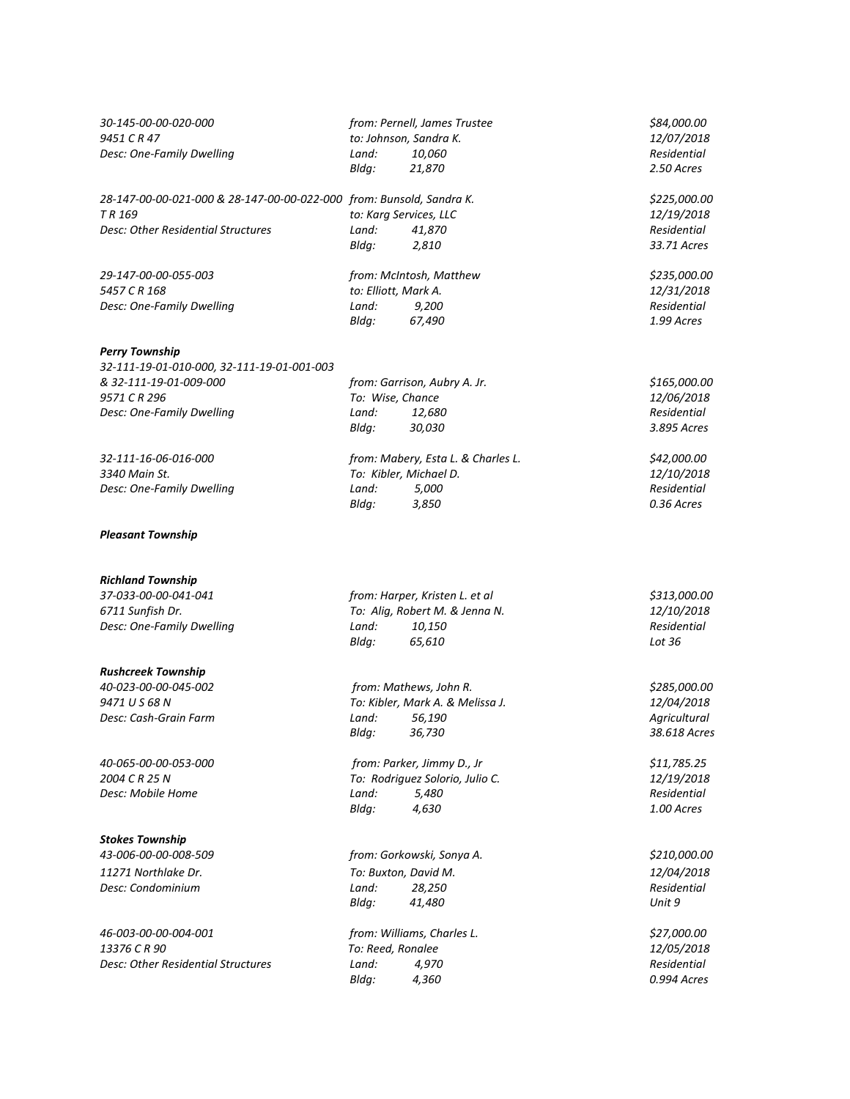| 30-145-00-00-020-000<br>9451 C R 47<br>Desc: One-Family Dwelling                                                                           | Land:<br>Bldg:                           | from: Pernell, James Trustee<br>to: Johnson, Sandra K.<br>10,060<br>21,870           | \$84,000.00<br>12/07/2018<br>Residential<br>2.50 Acres     |
|--------------------------------------------------------------------------------------------------------------------------------------------|------------------------------------------|--------------------------------------------------------------------------------------|------------------------------------------------------------|
| 28-147-00-00-021-000 & 28-147-00-00-022-000 from: Bunsold, Sandra K.<br>TR 169<br>Desc: Other Residential Structures                       | to: Karg Services, LLC<br>Land:<br>Bldg: | 41,870<br>2,810                                                                      | \$225,000.00<br>12/19/2018<br>Residential<br>33.71 Acres   |
| 29-147-00-00-055-003<br>5457 C R 168<br>Desc: One-Family Dwelling                                                                          | to: Elliott, Mark A.<br>Land:<br>Bldg:   | from: McIntosh, Matthew<br>9,200<br>67,490                                           | \$235,000.00<br>12/31/2018<br>Residential<br>1.99 Acres    |
| <b>Perry Township</b><br>32-111-19-01-010-000, 32-111-19-01-001-003<br>& 32-111-19-01-009-000<br>9571 C R 296<br>Desc: One-Family Dwelling | To: Wise, Chance<br>Land:<br>Bldg:       | from: Garrison, Aubry A. Jr.<br>12,680<br>30,030                                     | \$165,000.00<br>12/06/2018<br>Residential<br>3.895 Acres   |
| 32-111-16-06-016-000<br>3340 Main St.<br>Desc: One-Family Dwelling                                                                         | To: Kibler, Michael D.<br>Land:<br>Bldg: | from: Mabery, Esta L. & Charles L.<br>5,000<br>3,850                                 | \$42,000.00<br>12/10/2018<br>Residential<br>0.36 Acres     |
| <b>Pleasant Township</b>                                                                                                                   |                                          |                                                                                      |                                                            |
| <b>Richland Township</b><br>37-033-00-00-041-041<br>6711 Sunfish Dr.<br>Desc: One-Family Dwelling                                          | Land:<br>Bldg:                           | from: Harper, Kristen L. et al<br>To: Alig, Robert M. & Jenna N.<br>10,150<br>65,610 | \$313,000.00<br>12/10/2018<br>Residential<br>Lot 36        |
| <b>Rushcreek Township</b><br>40-023-00-00-045-002<br>9471 U S 68 N<br>Desc: Cash-Grain Farm                                                | Land:<br>Bldg:                           | from: Mathews, John R.<br>To: Kibler, Mark A. & Melissa J.<br>56,190<br>36,730       | \$285,000.00<br>12/04/2018<br>Agricultural<br>38.618 Acres |
| 40-065-00-00-053-000<br>2004 C R 25 N<br>Desc: Mobile Home                                                                                 | Land:<br>Bldg:                           | from: Parker, Jimmy D., Jr<br>To: Rodriguez Solorio, Julio C.<br>5,480<br>4,630      | \$11,785.25<br>12/19/2018<br>Residential<br>1.00 Acres     |
| <b>Stokes Township</b><br>43-006-00-00-008-509<br>11271 Northlake Dr.<br>Desc: Condominium                                                 | To: Buxton, David M.<br>Land:<br>Bldg:   | from: Gorkowski, Sonya A.<br>28,250<br>41,480                                        | \$210,000.00<br>12/04/2018<br>Residential<br>Unit 9        |
| 46-003-00-00-004-001<br>13376 C R 90<br>Desc: Other Residential Structures                                                                 | To: Reed, Ronalee<br>Land:<br>Bldg:      | from: Williams, Charles L.<br>4,970<br>4,360                                         | \$27,000.00<br>12/05/2018<br>Residential<br>0.994 Acres    |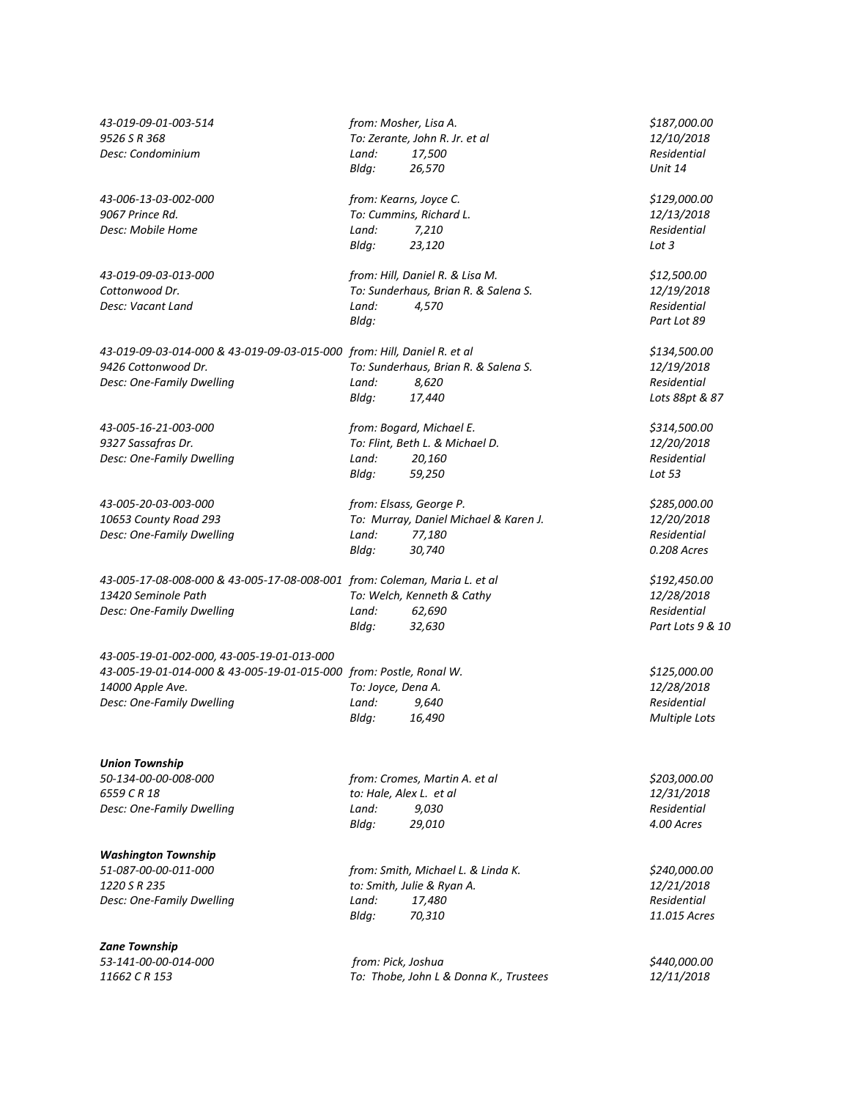| 43-019-09-01-003-514                                                      | from: Mosher, Lisa A.   |                                        | \$187,000.00               |
|---------------------------------------------------------------------------|-------------------------|----------------------------------------|----------------------------|
| 9526 S R 368                                                              |                         | To: Zerante, John R. Jr. et al         | 12/10/2018                 |
| Desc: Condominium                                                         | Land:                   | 17,500                                 | Residential                |
|                                                                           | Bldg:                   | 26,570                                 | Unit 14                    |
| 43-006-13-03-002-000                                                      | from: Kearns, Joyce C.  |                                        | \$129,000.00               |
| 9067 Prince Rd.                                                           |                         | To: Cummins, Richard L.                | 12/13/2018                 |
| Desc: Mobile Home                                                         | Land:                   | 7,210                                  | Residential                |
|                                                                           | Bldg:                   | 23,120                                 | Lot $3$                    |
| 43-019-09-03-013-000                                                      |                         | from: Hill, Daniel R. & Lisa M.        | \$12,500.00                |
| Cottonwood Dr.                                                            |                         | To: Sunderhaus, Brian R. & Salena S.   | 12/19/2018                 |
| Desc: Vacant Land                                                         | Land:<br>Bldg:          | 4,570                                  | Residential<br>Part Lot 89 |
|                                                                           |                         |                                        |                            |
| 43-019-09-03-014-000 & 43-019-09-03-015-000 from: Hill, Daniel R. et al   |                         |                                        | \$134,500.00               |
| 9426 Cottonwood Dr.                                                       |                         | To: Sunderhaus, Brian R. & Salena S.   | 12/19/2018                 |
| Desc: One-Family Dwelling                                                 | Land:                   | 8,620                                  | Residential                |
|                                                                           | Bldg:                   | 17,440                                 | Lots 88pt & 87             |
| 43-005-16-21-003-000                                                      |                         | from: Bogard, Michael E.               | \$314,500.00               |
| 9327 Sassafras Dr.                                                        |                         | To: Flint, Beth L. & Michael D.        | 12/20/2018                 |
| Desc: One-Family Dwelling                                                 | Land:                   | 20,160                                 | Residential                |
|                                                                           | Bldg:                   | 59,250                                 | Lot 53                     |
| 43-005-20-03-003-000                                                      |                         | from: Elsass, George P.                | \$285,000.00               |
| 10653 County Road 293                                                     |                         | To: Murray, Daniel Michael & Karen J.  | 12/20/2018                 |
| Desc: One-Family Dwelling                                                 | Land:                   | 77,180                                 | Residential                |
|                                                                           | Bldg:                   | 30,740                                 | 0.208 Acres                |
| 43-005-17-08-008-000 & 43-005-17-08-008-001 from: Coleman, Maria L. et al |                         |                                        | \$192,450.00               |
| 13420 Seminole Path                                                       |                         | To: Welch, Kenneth & Cathy             | 12/28/2018                 |
| Desc: One-Family Dwelling                                                 | Land:                   | 62,690                                 | Residential                |
|                                                                           | Bldg:                   | 32,630                                 | Part Lots 9 & 10           |
| 43-005-19-01-002-000, 43-005-19-01-013-000                                |                         |                                        |                            |
| 43-005-19-01-014-000 & 43-005-19-01-015-000 from: Postle, Ronal W.        |                         |                                        | \$125,000.00               |
| 14000 Apple Ave.                                                          | To: Joyce, Dena A.      |                                        | 12/28/2018                 |
| Desc: One-Family Dwelling                                                 | Land:                   | 9,640                                  | Residential                |
|                                                                           | Bldg:                   | 16,490                                 | <b>Multiple Lots</b>       |
|                                                                           |                         |                                        |                            |
| <b>Union Township</b><br>50-134-00-00-008-000                             |                         | from: Cromes, Martin A. et al          | \$203,000.00               |
| 6559 C R 18                                                               | to: Hale, Alex L. et al |                                        | <i>12/31/2018</i>          |
| Desc: One-Family Dwelling                                                 | Land:                   | 9,030                                  | Residential                |
|                                                                           | Bldg:                   | 29,010                                 | 4.00 Acres                 |
| <b>Washington Township</b>                                                |                         |                                        |                            |
| 51-087-00-00-011-000                                                      |                         | from: Smith, Michael L. & Linda K.     | \$240,000.00               |
| 1220 S R 235                                                              |                         | to: Smith, Julie & Ryan A.             | 12/21/2018                 |
| Desc: One-Family Dwelling                                                 | Land:                   | 17,480                                 | Residential                |
|                                                                           | Bldg:                   | 70,310                                 | 11.015 Acres               |
| Zane Township                                                             |                         |                                        |                            |
| 53-141-00-00-014-000                                                      | from: Pick, Joshua      |                                        | \$440,000.00               |
| 11662 C R 153                                                             |                         | To: Thobe, John L & Donna K., Trustees | 12/11/2018                 |
|                                                                           |                         |                                        |                            |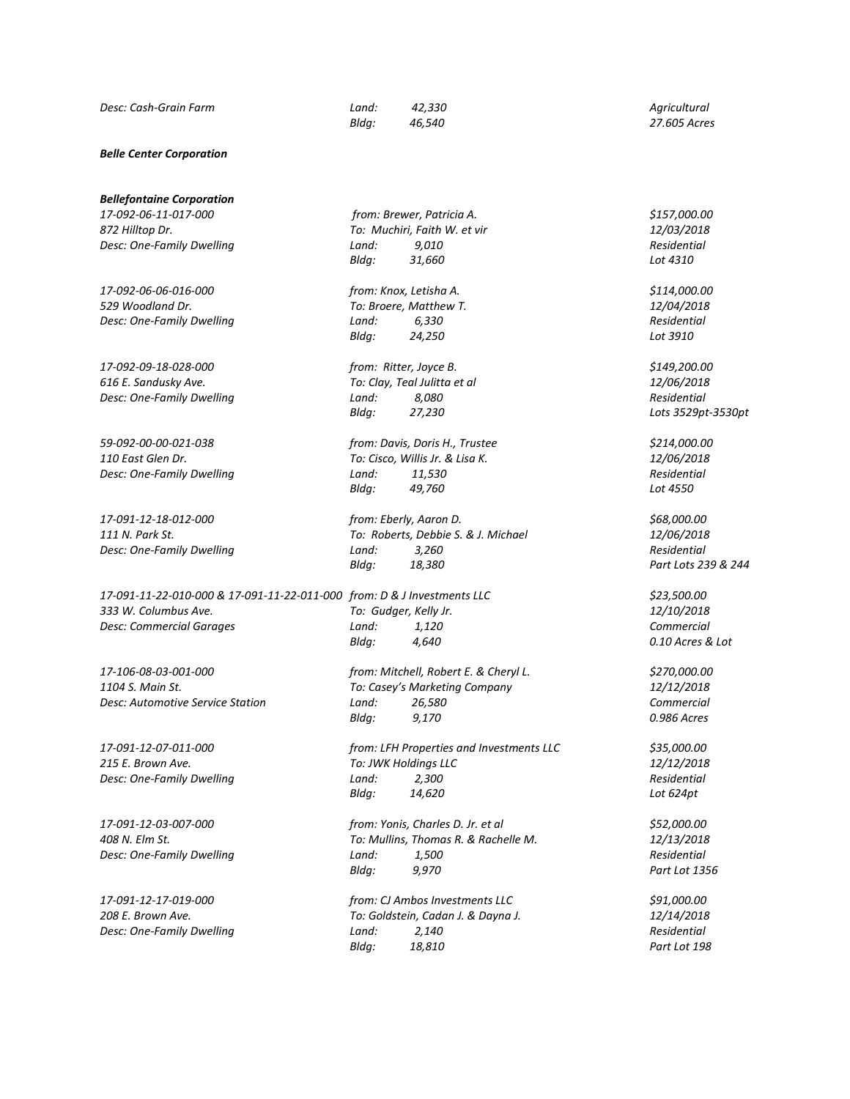#### *Belle Center Corporation*

*Bellefontaine Corporation*

*872 Hilltop Dr. To: Muchiri, Faith W. et vir 12/03/2018 Desc: One-Family Dwelling Land: 9,010 Residential*

*17-092-06-06-016-000 from: Knox, Letisha A. \$114,000.00 529 Woodland Dr. To: Broere, Matthew T. 12/04/2018 Desc: One-Family Dwelling Land: 6,330 Residential*

*17-092-09-18-028-000 from: Ritter, Joyce B. \$149,200.00 616 E. Sandusky Ave. To: Clay, Teal Julitta et al 12/06/2018 Desc: One-Family Dwelling Land: 8,080 Residential*

*59-092-00-00-021-038 from: Davis, Doris H., Trustee \$214,000.00*

*17-091-11-22-010-000 & 17-091-11-22-011-000 from: D & J Investments LLC \$23,500.00 333 W. Columbus Ave. To: Gudger, Kelly Jr. 12/10/2018 Desc: Commercial Garages Land: 1,120 Commercial*

*17-106-08-03-001-000 from: Mitchell, Robert E. & Cheryl L. \$270,000.00*

*17-091-12-17-019-000 from: CJ Ambos Investments LLC \$91,000.00*

*17-092-06-11-017-000 from: Brewer, Patricia A. \$157,000.00 Bldg: 31,660 Lot 4310*

*Bldg: 24,250 Lot 3910*

*Bldg: 27,230 Lots 3529pt-3530pt*

*110 East Glen Dr. To: Cisco, Willis Jr. & Lisa K. 12/06/2018 Desc: One-Family Dwelling Land: 11,530 Residential Bldg: 49,760 Lot 4550*

*17-091-12-18-012-000 from: Eberly, Aaron D. \$68,000.00 111 N. Park St. To: Roberts, Debbie S. & J. Michael 12/06/2018 Desc: One-Family Dwelling Land: 3,260 Residential Bldg: 18,380 Part Lots 239 & 244*

*Bldg: 4,640 0.10 Acres & Lot*

*1104 S. Main St. To: Casey's Marketing Company 12/12/2018 Desc: Automotive Service Station Land: 26,580 Commercial Bldg: 9,170 0.986 Acres*

*17-091-12-07-011-000 from: LFH Properties and Investments LLC \$35,000.00 215 E. Brown Ave. To: JWK Holdings LLC 12/12/2018 Desc: One-Family Dwelling Land: 2,300 Residential Bldg: 14,620 Lot 624pt*

*17-091-12-03-007-000 from: Yonis, Charles D. Jr. et al \$52,000.00 408 N. Elm St. To: Mullins, Thomas R. & Rachelle M. 12/13/2018 Desc: One-Family Dwelling Land: 1,500 Residential Bldg: 9,970 Part Lot 1356*

*208 E. Brown Ave. To: Goldstein, Cadan J. & Dayna J. 12/14/2018 Desc: One-Family Dwelling Land: 2,140 Residential Bldg: 18,810 Part Lot 198*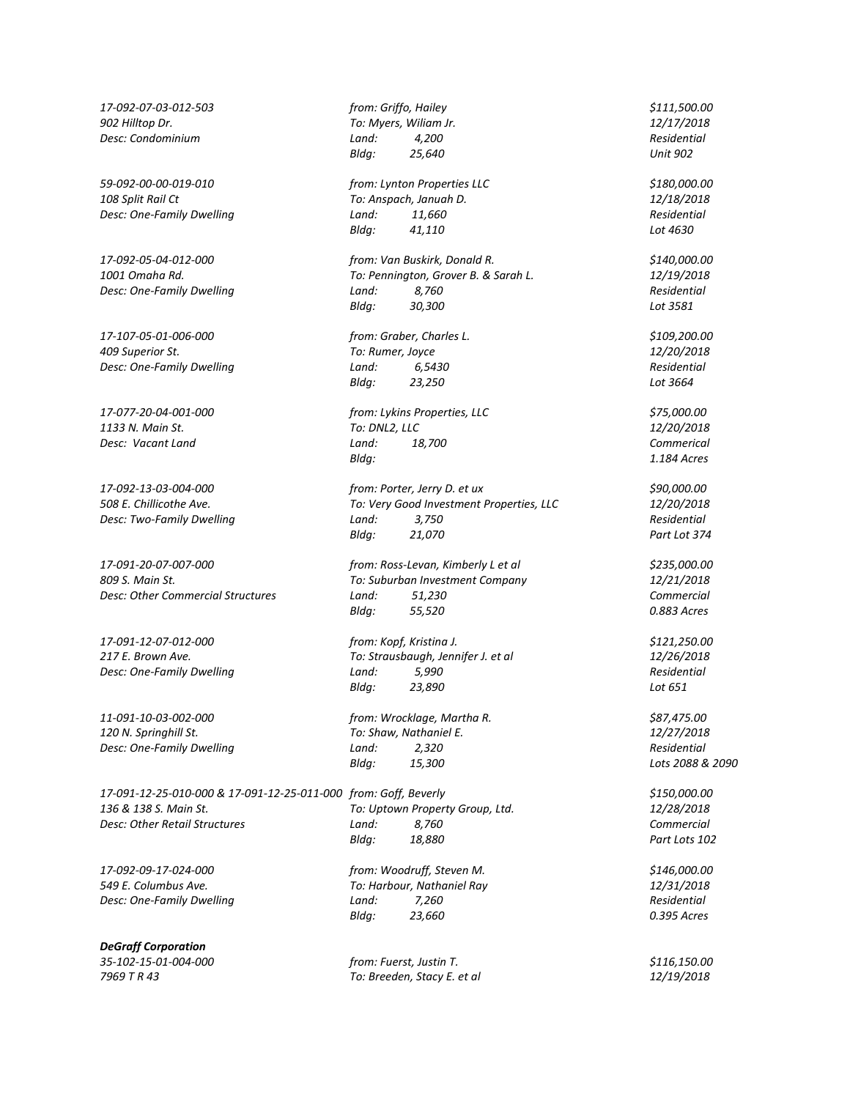*809 S. Main St. To: Suburban Investment Company 12/21/2018 Desc: Other Commercial Structures Land: 51,230 Commercial*

*11-091-10-03-002-000 from: Wrocklage, Martha R. \$87,475.00 120 N. Springhill St. To: Shaw, Nathaniel E. 12/27/2018 Desc: One-Family Dwelling Land: 2,320 Residential*

*17-091-12-25-010-000 & 17-091-12-25-011-000 from: Goff, Beverly \$150,000.00 136 & 138 S. Main St. To: Uptown Property Group, Ltd. 12/28/2018 Desc: Other Retail Structures Land: 8,760 Commercial*

*17-092-09-17-024-000 from: Woodruff, Steven M. \$146,000.00*

*DeGraff Corporation*

*17-092-07-03-012-503 from: Griffo, Hailey \$111,500.00 902 Hilltop Dr. To: Myers, Wiliam Jr. 12/17/2018 Desc: Condominium Land: 4,200 Residential Bldg: 25,640 Unit 902 59-092-00-00-019-010 from: Lynton Properties LLC \$180,000.00 108 Split Rail Ct To: Anspach, Januah D. 12/18/2018 Desc: One-Family Dwelling Land: 11,660 Residential Bldg: 41,110 Lot 4630 17-092-05-04-012-000 from: Van Buskirk, Donald R. \$140,000.00 1001 Omaha Rd. To: Pennington, Grover B. & Sarah L. 12/19/2018 Desc: One-Family Dwelling Land: 8,760 Residential Bldg: 30,300 Lot 3581 17-107-05-01-006-000 from: Graber, Charles L. \$109,200.00 409 Superior St. To: Rumer, Joyce 12/20/2018 Desc: One-Family Dwelling Land: 6,5430 Residential Bldg: 23,250 Lot 3664 17-077-20-04-001-000 from: Lykins Properties, LLC \$75,000.00 1133 N. Main St. To: DNL2, LLC 12/20/2018 Desc: Vacant Land Land: 18,700 Commerical Bldg: 1.184 Acres 17-092-13-03-004-000 from: Porter, Jerry D. et ux \$90,000.00 508 E. Chillicothe Ave. To: Very Good Investment Properties, LLC 12/20/2018 Desc: Two-Family Dwelling Land: 3,750 Residential Bldg: 21,070 Part Lot 374 17-091-20-07-007-000 from: Ross-Levan, Kimberly L et al \$235,000.00 Bldg: 55,520 0.883 Acres 17-091-12-07-012-000 from: Kopf, Kristina J. \$121,250.00*

*217 E. Brown Ave. To: Strausbaugh, Jennifer J. et al 12/26/2018 Desc: One-Family Dwelling Land: 5,990 Residential Bldg: 23,890 Lot 651*

*Bldg: 15,300 Lots 2088 & 2090*

*Bldg:* 18,880 **Part Lots 102** 

*549 E. Columbus Ave. To: Harbour, Nathaniel Ray 12/31/2018 Desc: One-Family Dwelling Land: 7,260 Residential Bldg: 23,660 0.395 Acres*

*35-102-15-01-004-000 from: Fuerst, Justin T. \$116,150.00 7969 T R 43 To: Breeden, Stacy E. et al 12/19/2018*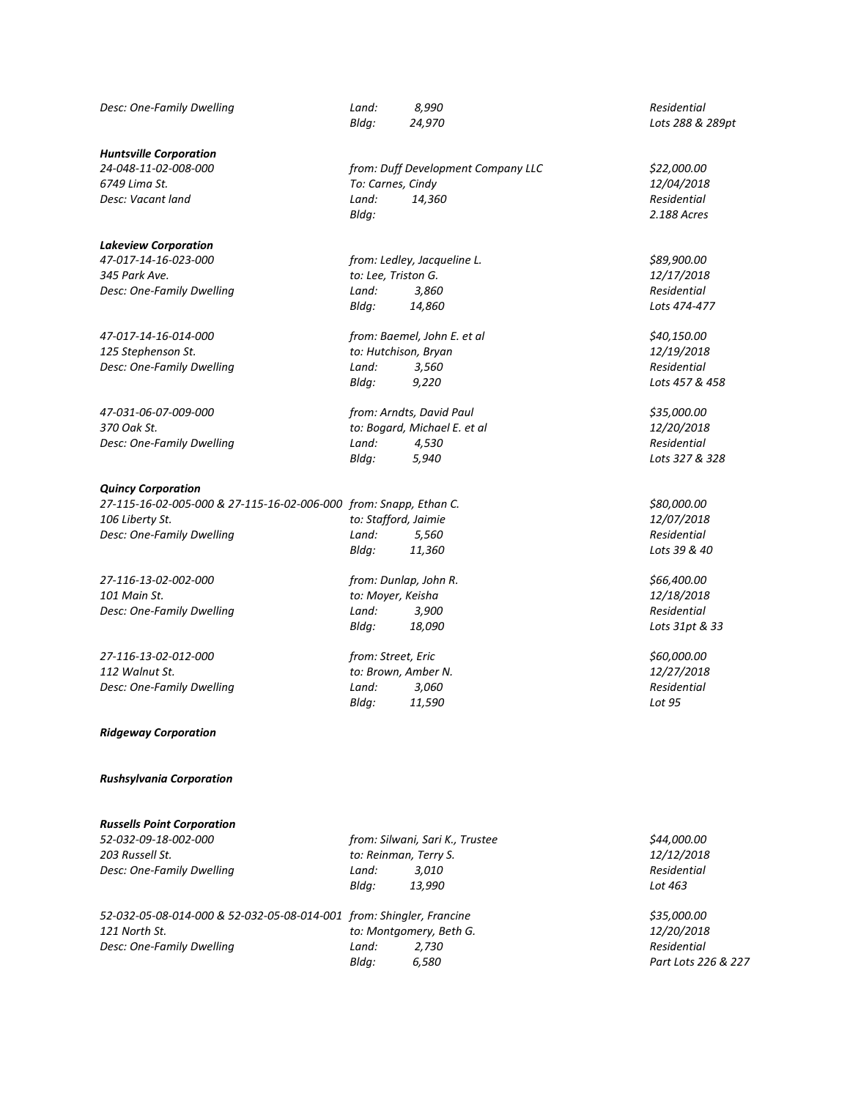*Desc: One-Family Dwelling Land: 8,990 Residential*

*Huntsville Corporation*

*Desc: Vacant land Resc: Vacant land Residential* 

# *Lakeview Corporation*

*345 Park Ave. to: Lee, Triston G. 12/17/2018*

*47-031-06-07-009-000 from: Arndts, David Paul \$35,000.00*

#### *Quincy Corporation*

*27-115-16-02-005-000 & 27-115-16-02-006-000 from: Snapp, Ethan C. \$80,000.00 106 Liberty St. to: Stafford, Jaimie 12/07/2018 Desc: One-Family Dwelling Land: 5,560 Residential*

*27-116-13-02-002-000 from: Dunlap, John R. \$66,400.00 101 Main St. to: Moyer, Keisha 12/18/2018 Desc: One-Family Dwelling Land: 3,900 Residential*

*27-116-13-02-012-000 from: Street, Eric \$60,000.00 112 Walnut St. to: Brown, Amber N. 12/27/2018 Desc: One-Family Dwelling Land: 3,060 Residential*

*Ridgeway Corporation*

## *Rushsylvania Corporation*

# *Russells Point Corporation*

*Desc: One-Family Dwelling Land: 3,010* 

*52-032-09-18-002-000 from: Silwani, Sari K., Trustee \$44,000.00 203 Russell St. to: Reinman, Terry S. 12/12/2018 Bldg: 13,990 Lot 463*

| 52-032-05-08-014-000 & 52-032-05-08-014-001 from: Shingler, Francine |       |                         | \$35,000.00       |
|----------------------------------------------------------------------|-------|-------------------------|-------------------|
| 121 North St.                                                        |       | to: Montgomery, Beth G. | <i>12/20/2018</i> |
| Desc: One-Family Dwelling                                            | Land: | 2.730                   | Residential       |
|                                                                      |       |                         | _ _               |

*24-048-11-02-008-000 from: Duff Development Company LLC \$22,000.00 6749 Lima St. To: Carnes, Cindy 12/04/2018 Bldg: 2.188 Acres*

*47-017-14-16-023-000 from: Ledley, Jacqueline L. \$89,900.00 Desc: One-Family Dwelling Land: 3,860 Residential Bldg: 14,860 Lots 474-477*

*47-017-14-16-014-000 from: Baemel, John E. et al \$40,150.00 125 Stephenson St. to: Hutchison, Bryan 12/19/2018 Desc: One-Family Dwelling Land: 3,560 Residential Bldg: 9,220 Lots 457 & 458*

*370 Oak St. to: Bogard, Michael E. et al 12/20/2018 Desc: One-Family Dwelling Land: 4,530 Residential Bldg: 5,940 Lots 327 & 328*

*Bldg: 18,090 Lots 31pt & 33*

*Bldg: 11,590 Lot 95*

*Bldg: 24,970 Lots 288 & 289pt*

*Bldg: 11,360 Lots 39 & 40*

*121 North St. to: Montgomery, Beth G. 12/20/2018 Bldg: 6,580 Part Lots 226 & 227*